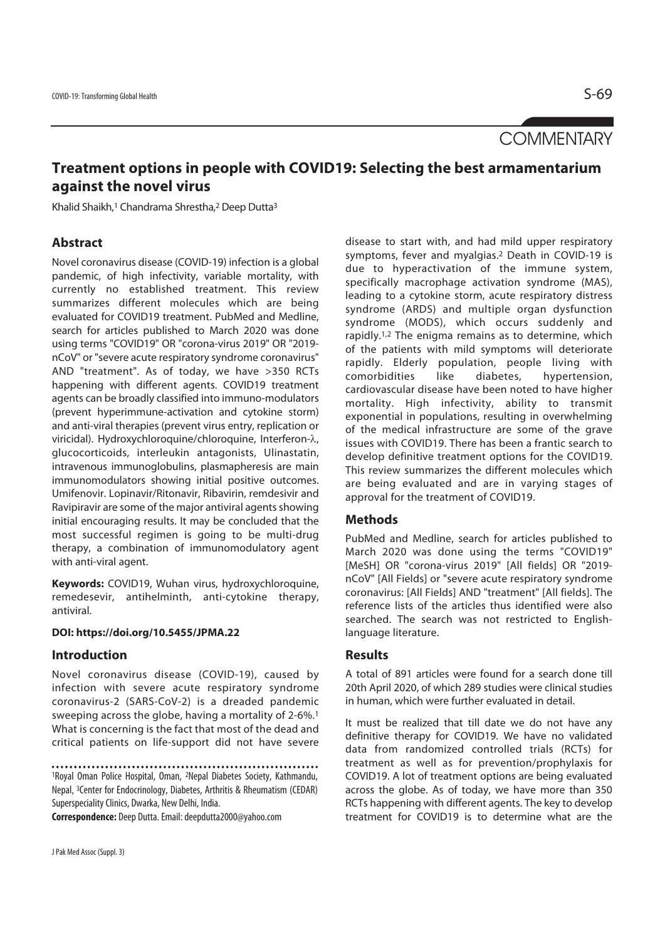# **COMMENTARY**

# **Treatment options in people with COVID19: Selecting the best armamentarium against the novel virus**

Khalid Shaikh,<sup>1</sup> Chandrama Shrestha,<sup>2</sup> Deep Dutta<sup>3</sup>

### **Abstract**

Novel coronavirus disease (COVID-19) infection is a global pandemic, of high infectivity, variable mortality, with currently no established treatment. This review summarizes different molecules which are being evaluated for COVID19 treatment. PubMed and Medline, search for articles published to March 2020 was done using terms "COVID19" OR "corona-virus 2019" OR "2019 nCoV" or "severe acute respiratory syndrome coronavirus" AND "treatment". As of today, we have >350 RCTs happening with different agents. COVID19 treatment agents can be broadly classified into immuno-modulators (prevent hyperimmune-activation and cytokine storm) and anti-viral therapies (prevent virus entry, replication or viricidal). Hydroxychloroquine/chloroquine, Interferon-λ, glucocorticoids, interleukin antagonists, Ulinastatin, intravenous immunoglobulins, plasmapheresis are main immunomodulators showing initial positive outcomes. Umifenovir. Lopinavir/Ritonavir, Ribavirin, remdesivir and Ravipiravir are some of the major antiviral agents showing initial encouraging results. It may be concluded that the most successful regimen is going to be multi-drug therapy, a combination of immunomodulatory agent with anti-viral agent.

**Keywords:** COVID19, Wuhan virus, hydroxychloroquine, remedesevir, antihelminth, anti-cytokine therapy, antiviral.

#### **DOI: https://doi.org/10.5455/JPMA.22**

#### **Introduction**

Novel coronavirus disease (COVID-19), caused by infection with severe acute respiratory syndrome coronavirus-2 (SARS-CoV-2) is a dreaded pandemic sweeping across the globe, having a mortality of 2-6%.1 What is concerning is the fact that most of the dead and critical patients on life-support did not have severe

**Correspondence:** Deep Dutta. Email: deepdutta2000@yahoo.com

disease to start with, and had mild upper respiratory symptoms, fever and myalgias.2 Death in COVID-19 is due to hyperactivation of the immune system, specifically macrophage activation syndrome (MAS), leading to a cytokine storm, acute respiratory distress syndrome (ARDS) and multiple organ dysfunction syndrome (MODS), which occurs suddenly and rapidly.1,2 The enigma remains as to determine, which of the patients with mild symptoms will deteriorate rapidly. Elderly population, people living with comorbidities like diabetes, hypertension, cardiovascular disease have been noted to have higher mortality. High infectivity, ability to transmit exponential in populations, resulting in overwhelming of the medical infrastructure are some of the grave issues with COVID19. There has been a frantic search to develop definitive treatment options for the COVID19. This review summarizes the different molecules which are being evaluated and are in varying stages of approval for the treatment of COVID19.

#### **Methods**

PubMed and Medline, search for articles published to March 2020 was done using the terms "COVID19" [MeSH] OR "corona-virus 2019" [All fields] OR "2019 nCoV" [All Fields] or "severe acute respiratory syndrome coronavirus: [All Fields] AND "treatment" [All fields]. The reference lists of the articles thus identified were also searched. The search was not restricted to Englishlanguage literature.

#### **Results**

A total of 891 articles were found for a search done till 20th April 2020, of which 289 studies were clinical studies in human, which were further evaluated in detail.

It must be realized that till date we do not have any definitive therapy for COVID19. We have no validated data from randomized controlled trials (RCTs) for treatment as well as for prevention/prophylaxis for COVID19. A lot of treatment options are being evaluated across the globe. As of today, we have more than 350 RCTs happening with different agents. The key to develop treatment for COVID19 is to determine what are the

<sup>1</sup>Royal Oman Police Hospital, Oman, 2Nepal Diabetes Society, Kathmandu, Nepal, 3Center for Endocrinology, Diabetes, Arthritis & Rheumatism (CEDAR) Superspeciality Clinics, Dwarka, New Delhi, India.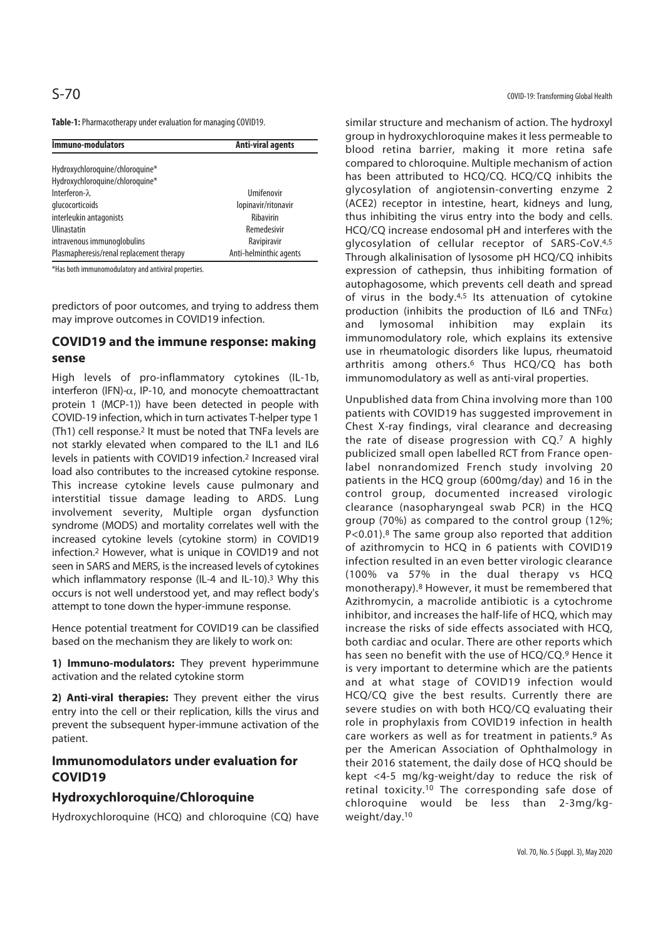**Table-1:** Pharmacotherapy under evaluation for managing COVID19.

| <b>Immuno-modulators</b>                 | <b>Anti-viral agents</b> |
|------------------------------------------|--------------------------|
| Hydroxychloroquine/chloroquine*          |                          |
| Hydroxychloroquine/chloroquine*          |                          |
| Interferon- $\lambda$                    | Umifenovir               |
| glucocorticoids                          | lopinavir/ritonavir      |
| interleukin antagonists                  | Ribavirin                |
| Ulinastatin                              | Remedesivir              |
| intravenous immunoglobulins              | Ravipiravir              |
| Plasmapheresis/renal replacement therapy | Anti-helminthic agents   |

\*Has both immunomodulatory and antiviral properties.

predictors of poor outcomes, and trying to address them may improve outcomes in COVID19 infection.

## **COVID19 and the immune response: making sense**

High levels of pro-inflammatory cytokines (IL-1b, interferon (IFN)-α, IP-10, and monocyte chemoattractant protein 1 (MCP-1)) have been detected in people with COVID-19 infection, which in turn activates T-helper type 1 (Th1) cell response.2 It must be noted that TNFa levels are not starkly elevated when compared to the IL1 and IL6 levels in patients with COVID19 infection.2 Increased viral load also contributes to the increased cytokine response. This increase cytokine levels cause pulmonary and interstitial tissue damage leading to ARDS. Lung involvement severity, Multiple organ dysfunction syndrome (MODS) and mortality correlates well with the increased cytokine levels (cytokine storm) in COVID19 infection.2 However, what is unique in COVID19 and not seen in SARS and MERS, is the increased levels of cytokines which inflammatory response (IL-4 and IL-10).<sup>3</sup> Why this occurs is not well understood yet, and may reflect body's attempt to tone down the hyper-immune response.

Hence potential treatment for COVID19 can be classified based on the mechanism they are likely to work on:

**1) Immuno-modulators:** They prevent hyperimmune activation and the related cytokine storm

**2) Anti-viral therapies:** They prevent either the virus entry into the cell or their replication, kills the virus and prevent the subsequent hyper-immune activation of the patient.

### **Immunomodulators under evaluation for COVID19**

#### **Hydroxychloroquine/Chloroquine**

Hydroxychloroquine (HCQ) and chloroquine (CQ) have

S-70 COVID-19: Transforming Global Health

similar structure and mechanism of action. The hydroxyl group in hydroxychloroquine makes it less permeable to blood retina barrier, making it more retina safe compared to chloroquine. Multiple mechanism of action has been attributed to HCQ/CQ. HCQ/CQ inhibits the glycosylation of angiotensin-converting enzyme 2 (ACE2) receptor in intestine, heart, kidneys and lung, thus inhibiting the virus entry into the body and cells. HCQ/CQ increase endosomal pH and interferes with the glycosylation of cellular receptor of SARS-CoV.4,5 Through alkalinisation of lysosome pH HCQ/CQ inhibits expression of cathepsin, thus inhibiting formation of autophagosome, which prevents cell death and spread of virus in the body. $4,5$  Its attenuation of cytokine production (inhibits the production of IL6 and TNF $\alpha$ ) and lymosomal inhibition may explain its immunomodulatory role, which explains its extensive use in rheumatologic disorders like lupus, rheumatoid arthritis among others.6 Thus HCQ/CQ has both immunomodulatory as well as anti-viral properties.

Unpublished data from China involving more than 100 patients with COVID19 has suggested improvement in Chest X-ray findings, viral clearance and decreasing the rate of disease progression with CQ.7 A highly publicized small open labelled RCT from France openlabel nonrandomized French study involving 20 patients in the HCQ group (600mg/day) and 16 in the control group, documented increased virologic clearance (nasopharyngeal swab PCR) in the HCQ group (70%) as compared to the control group (12%; P<0.01).<sup>8</sup> The same group also reported that addition of azithromycin to HCQ in 6 patients with COVID19 infection resulted in an even better virologic clearance (100% va 57% in the dual therapy vs HCQ monotherapy).8 However, it must be remembered that Azithromycin, a macrolide antibiotic is a cytochrome inhibitor, and increases the half-life of HCQ, which may increase the risks of side effects associated with HCQ, both cardiac and ocular. There are other reports which has seen no benefit with the use of HCQ/CQ.9 Hence it is very important to determine which are the patients and at what stage of COVID19 infection would HCQ/CQ give the best results. Currently there are severe studies on with both HCQ/CQ evaluating their role in prophylaxis from COVID19 infection in health care workers as well as for treatment in patients.9 As per the American Association of Ophthalmology in their 2016 statement, the daily dose of HCQ should be kept <4-5 mg/kg-weight/day to reduce the risk of retinal toxicity.10 The corresponding safe dose of chloroquine would be less than 2-3mg/kgweight/day.10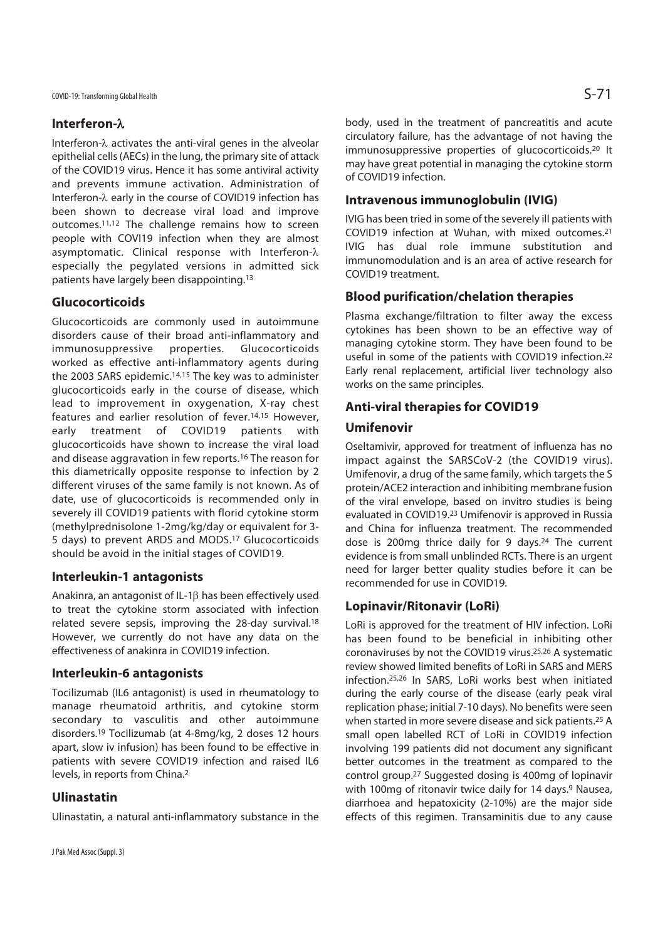## **Interferon-**λ

Interferon-λ activates the anti-viral genes in the alveolar epithelial cells (AECs) in the lung, the primary site of attack of the COVID19 virus. Hence it has some antiviral activity and prevents immune activation. Administration of Interferon-λ early in the course of COVID19 infection has been shown to decrease viral load and improve outcomes.11,12 The challenge remains how to screen people with COVI19 infection when they are almost asymptomatic. Clinical response with Interferon-λ especially the pegylated versions in admitted sick patients have largely been disappointing.13

## **Glucocorticoids**

Glucocorticoids are commonly used in autoimmune disorders cause of their broad anti-inflammatory and immunosuppressive properties. Glucocorticoids worked as effective anti-inflammatory agents during the 2003 SARS epidemic.14,15 The key was to administer glucocorticoids early in the course of disease, which lead to improvement in oxygenation, X-ray chest features and earlier resolution of fever.14,15 However, early treatment of COVID19 patients with glucocorticoids have shown to increase the viral load and disease aggravation in few reports.16 The reason for this diametrically opposite response to infection by 2 different viruses of the same family is not known. As of date, use of glucocorticoids is recommended only in severely ill COVID19 patients with florid cytokine storm (methylprednisolone 1-2mg/kg/day or equivalent for 3- 5 days) to prevent ARDS and MODS.17 Glucocorticoids should be avoid in the initial stages of COVID19.

## **Interleukin-1 antagonists**

Anakinra, an antagonist of IL-1β has been effectively used to treat the cytokine storm associated with infection related severe sepsis, improving the 28-day survival.18 However, we currently do not have any data on the effectiveness of anakinra in COVID19 infection.

#### **Interleukin-6 antagonists**

Tocilizumab (IL6 antagonist) is used in rheumatology to manage rheumatoid arthritis, and cytokine storm secondary to vasculitis and other autoimmune disorders.19 Tocilizumab (at 4-8mg/kg, 2 doses 12 hours apart, slow iv infusion) has been found to be effective in patients with severe COVID19 infection and raised IL6 levels, in reports from China.2

## **Ulinastatin**

Ulinastatin, a natural anti-inflammatory substance in the

body, used in the treatment of pancreatitis and acute circulatory failure, has the advantage of not having the immunosuppressive properties of glucocorticoids.20 It may have great potential in managing the cytokine storm of COVID19 infection.

## **Intravenous immunoglobulin (IVIG)**

IVIG has been tried in some of the severely ill patients with COVID19 infection at Wuhan, with mixed outcomes.21 IVIG has dual role immune substitution and immunomodulation and is an area of active research for COVID19 treatment.

## **Blood purification/chelation therapies**

Plasma exchange/filtration to filter away the excess cytokines has been shown to be an effective way of managing cytokine storm. They have been found to be useful in some of the patients with COVID19 infection.22 Early renal replacement, artificial liver technology also works on the same principles.

## **Anti-viral therapies for COVID19**

## **Umifenovir**

Oseltamivir, approved for treatment of influenza has no impact against the SARSCoV-2 (the COVID19 virus). Umifenovir, a drug of the same family, which targets the S protein/ACE2 interaction and inhibiting membrane fusion of the viral envelope, based on invitro studies is being evaluated in COVID19.23 Umifenovir is approved in Russia and China for influenza treatment. The recommended dose is 200mg thrice daily for 9 days.24 The current evidence is from small unblinded RCTs. There is an urgent need for larger better quality studies before it can be recommended for use in COVID19.

## **Lopinavir/Ritonavir (LoRi)**

LoRi is approved for the treatment of HIV infection. LoRi has been found to be beneficial in inhibiting other coronaviruses by not the COVID19 virus.25,26 A systematic review showed limited benefits of LoRi in SARS and MERS infection.25,26 In SARS, LoRi works best when initiated during the early course of the disease (early peak viral replication phase; initial 7-10 days). No benefits were seen when started in more severe disease and sick patients.25 A small open labelled RCT of LoRi in COVID19 infection involving 199 patients did not document any significant better outcomes in the treatment as compared to the control group.27 Suggested dosing is 400mg of lopinavir with 100mg of ritonavir twice daily for 14 days.<sup>9</sup> Nausea, diarrhoea and hepatoxicity (2-10%) are the major side effects of this regimen. Transaminitis due to any cause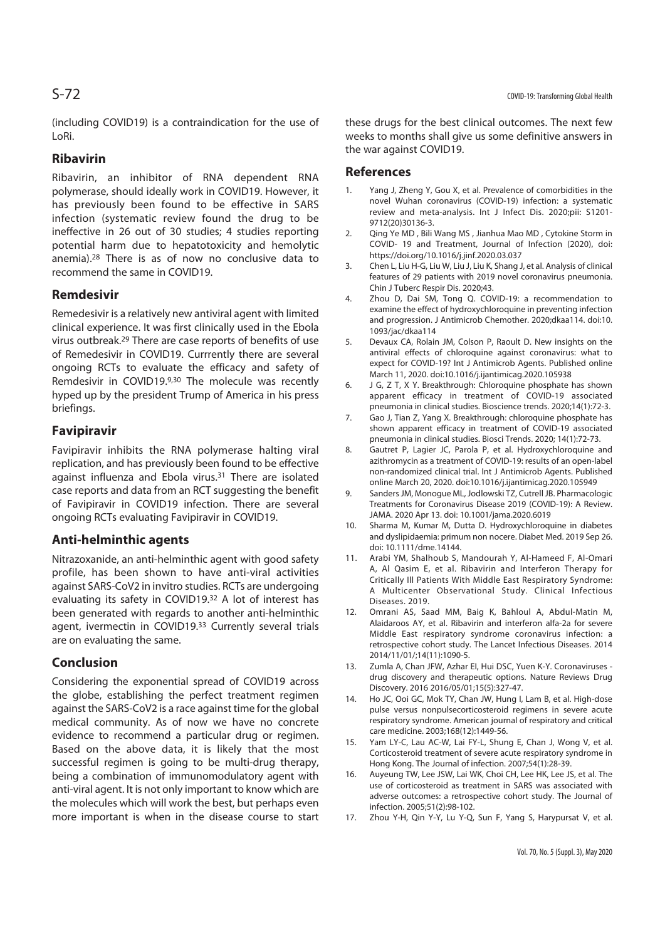(including COVID19) is a contraindication for the use of LoRi.

#### **Ribavirin**

Ribavirin, an inhibitor of RNA dependent RNA polymerase, should ideally work in COVID19. However, it has previously been found to be effective in SARS infection (systematic review found the drug to be ineffective in 26 out of 30 studies; 4 studies reporting potential harm due to hepatotoxicity and hemolytic anemia).28 There is as of now no conclusive data to recommend the same in COVID19.

#### **Remdesivir**

Remedesivir is a relatively new antiviral agent with limited clinical experience. It was first clinically used in the Ebola virus outbreak.29 There are case reports of benefits of use of Remedesivir in COVID19. Currrently there are several ongoing RCTs to evaluate the efficacy and safety of Remdesivir in COVID19.9,30 The molecule was recently hyped up by the president Trump of America in his press briefings.

#### **Favipiravir**

Favipiravir inhibits the RNA polymerase halting viral replication, and has previously been found to be effective against influenza and Ebola virus.<sup>31</sup> There are isolated case reports and data from an RCT suggesting the benefit of Favipiravir in COVID19 infection. There are several ongoing RCTs evaluating Favipiravir in COVID19.

#### **Anti-helminthic agents**

Nitrazoxanide, an anti-helminthic agent with good safety profile, has been shown to have anti-viral activities against SARS-CoV2 in invitro studies. RCTs are undergoing evaluating its safety in COVID19.32 A lot of interest has been generated with regards to another anti-helminthic agent, ivermectin in COVID19.33 Currently several trials are on evaluating the same.

#### **Conclusion**

Considering the exponential spread of COVID19 across the globe, establishing the perfect treatment regimen against the SARS-CoV2 is a race against time for the global medical community. As of now we have no concrete evidence to recommend a particular drug or regimen. Based on the above data, it is likely that the most successful regimen is going to be multi-drug therapy, being a combination of immunomodulatory agent with anti-viral agent. It is not only important to know which are the molecules which will work the best, but perhaps even more important is when in the disease course to start these drugs for the best clinical outcomes. The next few weeks to months shall give us some definitive answers in the war against COVID19.

#### **References**

- 1. Yang J, Zheng Y, Gou X, et al. Prevalence of comorbidities in the novel Wuhan coronavirus (COVID-19) infection: a systematic review and meta-analysis. Int J Infect Dis. 2020;pii: S1201- 9712(20)30136-3.
- 2. Qing Ye MD , Bili Wang MS , Jianhua Mao MD , Cytokine Storm in COVID- 19 and Treatment, Journal of Infection (2020), doi: https://doi.org/10.1016/j.jinf.2020.03.037
- 3. Chen L, Liu H-G, Liu W, Liu J, Liu K, Shang J, et al. Analysis of clinical features of 29 patients with 2019 novel coronavirus pneumonia. Chin J Tuberc Respir Dis. 2020;43.
- 4. Zhou D, Dai SM, Tong Q. COVID-19: a recommendation to examine the effect of hydroxychloroquine in preventing infection and progression. J Antimicrob Chemother. 2020;dkaa114. doi:10. 1093/jac/dkaa114
- 5. Devaux CA, Rolain JM, Colson P, Raoult D. New insights on the antiviral effects of chloroquine against coronavirus: what to expect for COVID-19? Int J Antimicrob Agents. Published online March 11, 2020. doi:10.1016/j.ijantimicag.2020.105938
- 6. J G, Z T, X Y. Breakthrough: Chloroquine phosphate has shown apparent efficacy in treatment of COVID-19 associated pneumonia in clinical studies. Bioscience trends. 2020;14(1):72-3.
- 7. Gao J, Tian Z, Yang X. Breakthrough: chloroquine phosphate has shown apparent efficacy in treatment of COVID-19 associated pneumonia in clinical studies. Biosci Trends. 2020; 14(1):72-73.
- 8. Gautret P, Lagier JC, Parola P, et al. Hydroxychloroquine and azithromycin as a treatment of COVID-19: results of an open-label non-randomized clinical trial. Int J Antimicrob Agents. Published online March 20, 2020. doi:10.1016/j.ijantimicag.2020.105949
- 9. Sanders JM, Monogue ML, Jodlowski TZ, Cutrell JB. Pharmacologic Treatments for Coronavirus Disease 2019 (COVID-19): A Review. JAMA. 2020 Apr 13. doi: 10.1001/jama.2020.6019
- 10. Sharma M, Kumar M, Dutta D. Hydroxychloroquine in diabetes and dyslipidaemia: primum non nocere. Diabet Med. 2019 Sep 26. doi: 10.1111/dme.14144.
- 11. Arabi YM, Shalhoub S, Mandourah Y, Al-Hameed F, Al-Omari A, Al Qasim E, et al. Ribavirin and Interferon Therapy for Critically Ill Patients With Middle East Respiratory Syndrome: A Multicenter Observational Study. Clinical Infectious Diseases. 2019.
- 12. Omrani AS, Saad MM, Baig K, Bahloul A, Abdul-Matin M, Alaidaroos AY, et al. Ribavirin and interferon alfa-2a for severe Middle East respiratory syndrome coronavirus infection: a retrospective cohort study. The Lancet Infectious Diseases. 2014 2014/11/01/;14(11):1090-5.
- 13. Zumla A, Chan JFW, Azhar EI, Hui DSC, Yuen K-Y. Coronaviruses drug discovery and therapeutic options. Nature Reviews Drug Discovery. 2016 2016/05/01;15(5):327-47.
- 14. Ho JC, Ooi GC, Mok TY, Chan JW, Hung I, Lam B, et al. High-dose pulse versus nonpulsecorticosteroid regimens in severe acute respiratory syndrome. American journal of respiratory and critical care medicine. 2003;168(12):1449-56.
- 15. Yam LY-C, Lau AC-W, Lai FY-L, Shung E, Chan J, Wong V, et al. Corticosteroid treatment of severe acute respiratory syndrome in Hong Kong. The Journal of infection. 2007;54(1):28-39.
- 16. Auyeung TW, Lee JSW, Lai WK, Choi CH, Lee HK, Lee JS, et al. The use of corticosteroid as treatment in SARS was associated with adverse outcomes: a retrospective cohort study. The Journal of infection. 2005;51(2):98-102.
- 17. Zhou Y-H, Qin Y-Y, Lu Y-Q, Sun F, Yang S, Harypursat V, et al.